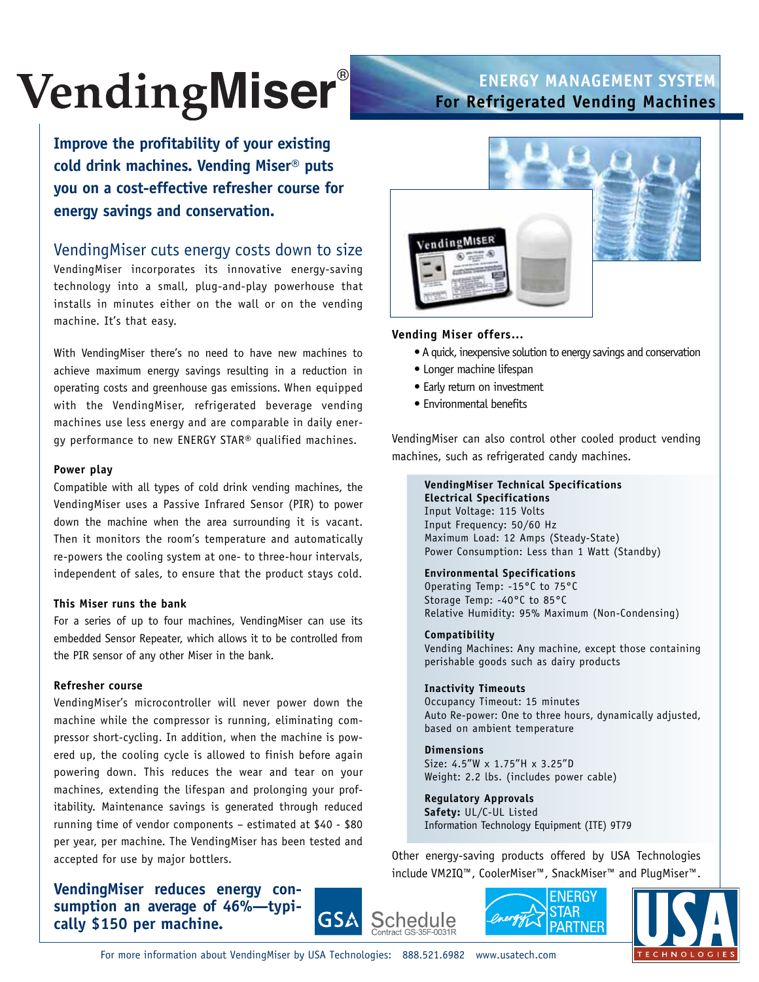# **VendingMiser**®

# **ENERGY MANAGEMENT SYSTEM For Refrigerated Vending Machines**

**Improve the profitability of your existing cold drink machines. Vending Miser® puts you on a cost-effective refresher course for energy savings and conservation.**

# VendingMiser cuts energy costs down to size

VendingMiser incorporates its innovative energy-saving technology into a small, plug-and-play powerhouse that installs in minutes either on the wall or on the vending machine. It's that easy.

With VendingMiser there's no need to have new machines to achieve maximum energy savings resulting in a reduction in operating costs and greenhouse gas emissions. When equipped with the VendingMiser, refrigerated beverage vending machines use less energy and are comparable in daily energy performance to new ENERGY STAR® qualified machines.

#### **Power play**

Compatible with all types of cold drink vending machines, the VendingMiser uses a Passive Infrared Sensor (PIR) to power down the machine when the area surrounding it is vacant. Then it monitors the room's temperature and automatically re-powers the cooling system at one- to three-hour intervals, independent of sales, to ensure that the product stays cold.

#### **This Miser runs the bank**

For a series of up to four machines, VendingMiser can use its embedded Sensor Repeater, which allows it to be controlled from the PIR sensor of any other Miser in the bank.

#### **Refresher course**

VendingMiser's microcontroller will never power down the machine while the compressor is running, eliminating compressor short-cycling. In addition, when the machine is powered up, the cooling cycle is allowed to finish before again powering down. This reduces the wear and tear on your machines, extending the lifespan and prolonging your profitability. Maintenance savings is generated through reduced running time of vendor components – estimated at \$40 - \$80 per year, per machine. The VendingMiser has been tested and accepted for use by major bottlers.

**VendingMiser reduces energy consumption an average of 46%—typically \$150 per machine.**





#### **Vending Miser offers…**

- A quick, inexpensive solution to energy savings and conservation
- Longer machine lifespan
- Early return on investment
- Environmental benefits

VendingMiser can also control other cooled product vending machines, such as refrigerated candy machines.

# **VendingMiser Technical Specifications**

**Electrical Specifications** Input Voltage: 115 Volts Input Frequency: 50/60 Hz Maximum Load: 12 Amps (Steady-State) Power Consumption: Less than 1 Watt (Standby)

#### **Environmental Specifications**

Operating Temp: -15°C to 75°C Storage Temp: -40°C to 85°C Relative Humidity: 95% Maximum (Non-Condensing)

#### **Compatibility**

Vending Machines: Any machine, except those containing perishable goods such as dairy products

#### **Inactivity Timeouts**

Occupancy Timeout: 15 minutes Auto Re-power: One to three hours, dynamically adjusted, based on ambient temperature

## **Dimensions**

Size: 4.5"W x 1.75"H x 3.25"D Weight: 2.2 lbs. (includes power cable)

#### **Regulatory Approvals Safety:** UL/C-UL Listed

Information Technology Equipment (ITE) 9T79

Other energy-saving products offered by USA Technologies include VM2IQ™, CoolerMiser™, SnackMiser™ and PlugMiser™.